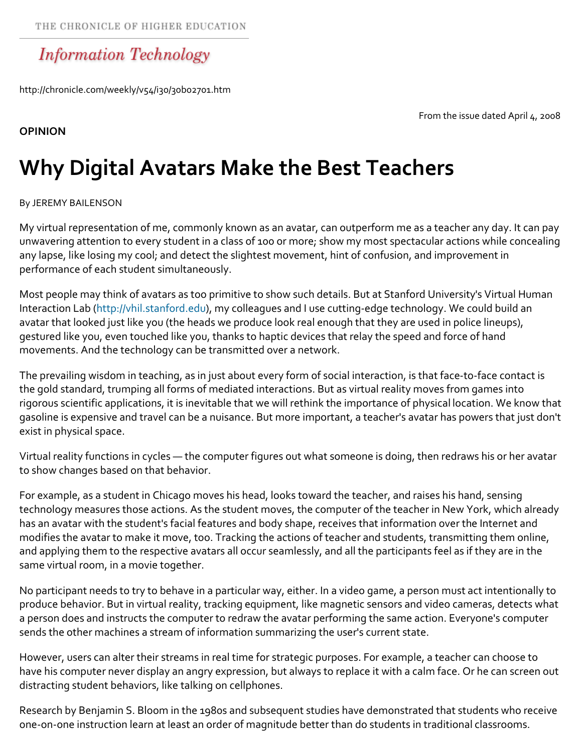## **Information Technology**

http://chronicle.com/weekly/v54/i30/30b02701.htm

From the issue dated April 4, 2008

## **OPINION**

## **Why Digital Avatars Make the Best Teachers**

## By JEREMY BAILENSON

My virtual representation of me, commonly known as an avatar, can outperform me as a teacher any day. It can pay unwavering attention to every student in a class of 100 or more; show my most spectacular actions while concealing any lapse, like losing my cool; and detect the slightest movement, hint of confusion, and improvement in performance of each student simultaneously.

Most people may think of avatars as too primitive to show such details. But at Stanford University's Virtual Human Interaction Lab (http://vhil.stanford.edu), my colleagues and I use cutting‐edge technology. We could build an avatar that looked just like you (the heads we produce look real enough that they are used in police lineups), gestured like you, even touched like you, thanks to haptic devices that relay the speed and force of hand movements. And the technology can be transmitted over a network.

The prevailing wisdom in teaching, as in just about every form of social interaction, is that face-to-face contact is the gold standard, trumping all forms of mediated interactions. But as virtual reality moves from games into rigorous scientific applications, it is inevitable that we will rethink the importance of physical location. We know that gasoline is expensive and travel can be a nuisance. But more important, a teacher's avatar has powers that just don't exist in physical space.

Virtual reality functions in cycles — the computer figures out what someone is doing, then redraws his or her avatar to show changes based on that behavior.

For example, as a student in Chicago moves his head, looks toward the teacher, and raises his hand, sensing technology measures those actions. As the student moves, the computer of the teacher in New York, which already has an avatar with the student's facial features and body shape, receives that information over the Internet and modifies the avatar to make it move, too. Tracking the actions of teacher and students, transmitting them online, and applying them to the respective avatars all occur seamlessly, and all the participants feel as if they are in the same virtual room, in a movie together.

No participant needs to try to behave in a particular way, either. In a video game, a person must act intentionally to produce behavior. But in virtual reality, tracking equipment, like magnetic sensors and video cameras, detects what a person does and instructs the computer to redraw the avatar performing the same action. Everyone's computer sends the other machines a stream of information summarizing the user's current state.

However, users can alter their streams in real time for strategic purposes. For example, a teacher can choose to have his computer never display an angry expression, but always to replace it with a calm face. Or he can screen out distracting student behaviors, like talking on cellphones.

Research by Benjamin S. Bloom in the 1980s and subsequent studies have demonstrated that students who receive one‐on‐one instruction learn at least an order of magnitude better than do students in traditional classrooms.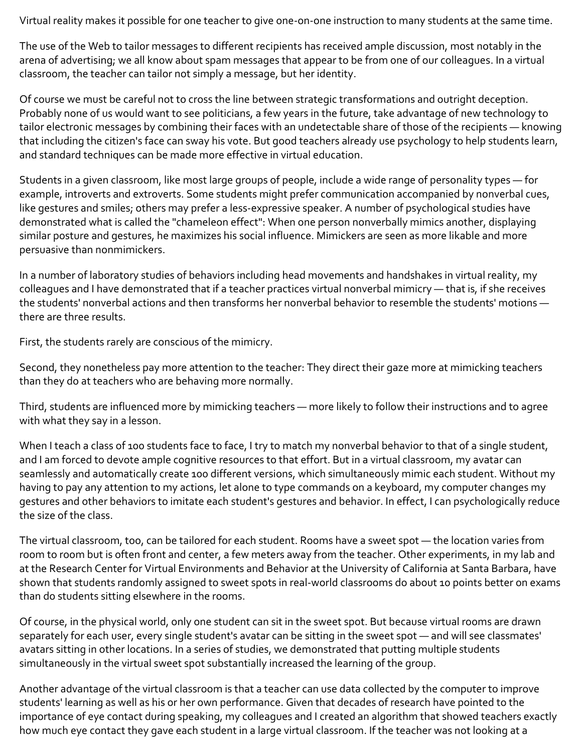Virtual reality makes it possible for one teacher to give one‐on‐one instruction to many students at the same time.

The use of the Web to tailor messages to different recipients has received ample discussion, most notably in the arena of advertising; we all know about spam messages that appear to be from one of our colleagues. In a virtual classroom, the teacher can tailor not simply a message, but her identity.

Of course we must be careful not to cross the line between strategic transformations and outright deception. Probably none of us would want to see politicians, a few years in the future, take advantage of new technology to tailor electronic messages by combining their faces with an undetectable share of those of the recipients — knowing that including the citizen's face can sway his vote. But good teachers already use psychology to help students learn, and standard techniques can be made more effective in virtual education.

Students in a given classroom, like most large groups of people, include a wide range of personality types — for example, introverts and extroverts. Some students might prefer communication accompanied by nonverbal cues, like gestures and smiles; others may prefer a less-expressive speaker. A number of psychological studies have demonstrated what is called the "chameleon effect": When one person nonverbally mimics another, displaying similar posture and gestures, he maximizes his social influence. Mimickers are seen as more likable and more persuasive than nonmimickers.

In a number of laboratory studies of behaviors including head movements and handshakes in virtual reality, my colleagues and I have demonstrated that if a teacher practices virtual nonverbal mimicry — that is, if she receives the students' nonverbal actions and then transforms her nonverbal behavior to resemble the students' motions there are three results.

First, the students rarely are conscious of the mimicry.

Second, they nonetheless pay more attention to the teacher: They direct their gaze more at mimicking teachers than they do at teachers who are behaving more normally.

Third, students are influenced more by mimicking teachers — more likely to follow their instructions and to agree with what they say in a lesson.

When I teach a class of 100 students face to face, I try to match my nonverbal behavior to that of a single student, and I am forced to devote ample cognitive resources to that effort. But in a virtual classroom, my avatar can seamlessly and automatically create 100 different versions, which simultaneously mimic each student. Without my having to pay any attention to my actions, let alone to type commands on a keyboard, my computer changes my gestures and other behaviors to imitate each student's gestures and behavior. In effect, I can psychologically reduce the size of the class.

The virtual classroom, too, can be tailored for each student. Rooms have a sweet spot — the location varies from room to room but is often front and center, a few meters away from the teacher. Other experiments, in my lab and at the Research Center for Virtual Environments and Behavior at the University of California at Santa Barbara, have shown that students randomly assigned to sweet spots in real‐world classrooms do about 10 points better on exams than do students sitting elsewhere in the rooms.

Of course, in the physical world, only one student can sit in the sweet spot. But because virtual rooms are drawn separately for each user, every single student's avatar can be sitting in the sweet spot — and will see classmates' avatars sitting in other locations. In a series of studies, we demonstrated that putting multiple students simultaneously in the virtual sweet spot substantially increased the learning of the group.

Another advantage of the virtual classroom is that a teacher can use data collected by the computer to improve students' learning as well as his or her own performance. Given that decades of research have pointed to the importance of eye contact during speaking, my colleagues and I created an algorithm that showed teachers exactly how much eye contact they gave each student in a large virtual classroom. If the teacher was not looking at a